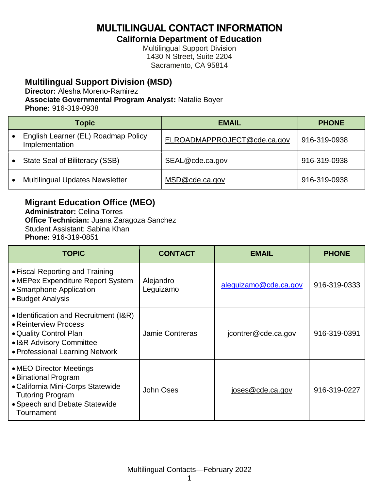**MULTILINGUAL CONTACT INFORMATION**

**California Department of Education**

Multilingual Support Division 1430 N Street, Suite 2204 Sacramento, CA 95814

#### **Multilingual Support Division (MSD)**

**Director:** Alesha Moreno-Ramirez

**Associate Governmental Program Analyst:** Natalie Boyer

**Phone:** 916-319-0938

| <b>Topic</b>                                          | <b>EMAIL</b>                | <b>PHONE</b> |
|-------------------------------------------------------|-----------------------------|--------------|
| English Learner (EL) Roadmap Policy<br>Implementation | ELROADMAPPROJECT@cde.ca.gov | 916-319-0938 |
| State Seal of Biliteracy (SSB)                        | SEAL@cde.ca.gov             | 916-319-0938 |
| <b>Multilingual Updates Newsletter</b>                | MSD@cde.ca.gov              | 916-319-0938 |

**Migrant Education Office (MEO)**

**Administrator:** Celina Torres **Office Technician:** Juana Zaragoza Sanchez Student Assistant: Sabina Khan **Phone:** 916-319-0851

| <b>TOPIC</b>                                                                                                                                                   | <b>CONTACT</b>         | <b>EMAIL</b>          | <b>PHONE</b> |
|----------------------------------------------------------------------------------------------------------------------------------------------------------------|------------------------|-----------------------|--------------|
| • Fiscal Reporting and Training<br>• MEPex Expenditure Report System<br>• Smartphone Application<br>• Budget Analysis                                          | Alejandro<br>Leguizamo | aleguizamo@cde.ca.gov | 916-319-0333 |
| • Identification and Recruitment (I&R)<br>• Reinterview Process<br>• Quality Control Plan<br>• I&R Advisory Committee<br>• Professional Learning Network       | <b>Jamie Contreras</b> | jcontrer@cde.ca.gov   | 916-319-0391 |
| • MEO Director Meetings<br>• Binational Program<br>• California Mini-Corps Statewide<br><b>Tutoring Program</b><br>• Speech and Debate Statewide<br>Tournament | John Oses              | joses@cde.ca.gov      | 916-319-0227 |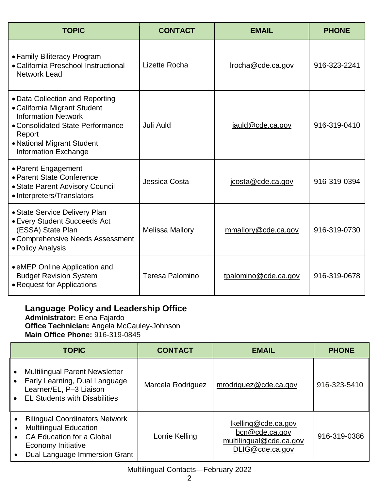| <b>TOPIC</b>                                                                                                                                                                                             | <b>CONTACT</b>         | <b>EMAIL</b>         | <b>PHONE</b> |
|----------------------------------------------------------------------------------------------------------------------------------------------------------------------------------------------------------|------------------------|----------------------|--------------|
| • Family Biliteracy Program<br>• California Preschool Instructional<br><b>Network Lead</b>                                                                                                               | Lizette Rocha          | Irocha@cde.ca.gov    | 916-323-2241 |
| • Data Collection and Reporting<br>• California Migrant Student<br><b>Information Network</b><br>• Consolidated State Performance<br>Report<br>• National Migrant Student<br><b>Information Exchange</b> | Juli Auld              | jauld@cde.ca.gov     | 916-319-0410 |
| • Parent Engagement<br>• Parent State Conference<br>• State Parent Advisory Council<br>• Interpreters/Translators                                                                                        | Jessica Costa          | jcosta@cde.ca.gov    | 916-319-0394 |
| • State Service Delivery Plan<br>• Every Student Succeeds Act<br>(ESSA) State Plan<br>• Comprehensive Needs Assessment<br>• Policy Analysis                                                              | <b>Melissa Mallory</b> | mmallory@cde.ca.gov  | 916-319-0730 |
| • eMEP Online Application and<br><b>Budget Revision System</b><br>• Request for Applications                                                                                                             | Teresa Palomino        | tpalomino@cde.ca.gov | 916-319-0678 |

#### **Language Policy and Leadership Office**

**Administrator:** Elena Fajardo **Office Technician:** Angela McCauley-Johnson **Main Office Phone:** 916-319-0845

|                                                  | <b>TOPIC</b>                                                                                                                                                      | <b>CONTACT</b>    | <b>EMAIL</b>                                                                        | <b>PHONE</b> |
|--------------------------------------------------|-------------------------------------------------------------------------------------------------------------------------------------------------------------------|-------------------|-------------------------------------------------------------------------------------|--------------|
|                                                  | <b>Multilingual Parent Newsletter</b><br>Early Learning, Dual Language<br>Learner/EL, P-3 Liaison<br><b>EL Students with Disabilities</b>                         | Marcela Rodriguez | mrodriguez@cde.ca.gov                                                               | 916-323-5410 |
| $\bullet$<br>$\bullet$<br>$\bullet$<br>$\bullet$ | <b>Bilingual Coordinators Network</b><br><b>Multilingual Education</b><br><b>CA Education for a Global</b><br>Economy Initiative<br>Dual Language Immersion Grant | Lorrie Kelling    | Ikelling@cde.ca.gov<br>bcn@cde.ca.gov<br>multilingual@cde.ca.gov<br>DLIG@cde.ca.gov | 916-319-0386 |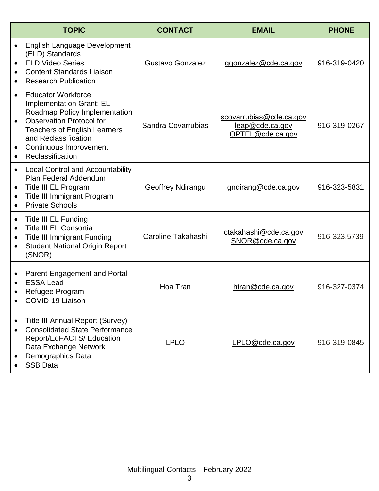|                                                  | <b>TOPIC</b>                                                                                                                                                                                                                                  | <b>CONTACT</b>          | <b>EMAIL</b>                                                   | <b>PHONE</b> |
|--------------------------------------------------|-----------------------------------------------------------------------------------------------------------------------------------------------------------------------------------------------------------------------------------------------|-------------------------|----------------------------------------------------------------|--------------|
| $\bullet$                                        | English Language Development<br>(ELD) Standards<br><b>ELD Video Series</b><br><b>Content Standards Liaison</b><br><b>Research Publication</b>                                                                                                 | <b>Gustavo Gonzalez</b> | ggonzalez@cde.ca.gov                                           | 916-319-0420 |
|                                                  | <b>Educator Workforce</b><br><b>Implementation Grant: EL</b><br>Roadmap Policy Implementation<br><b>Observation Protocol for</b><br><b>Teachers of English Learners</b><br>and Reclassification<br>Continuous Improvement<br>Reclassification | Sandra Covarrubias      | scovarrubias@cde.ca.gov<br>leap@cde.ca.gov<br>OPTEL@cde.ca.gov | 916-319-0267 |
| $\bullet$<br>$\bullet$<br>$\bullet$              | <b>Local Control and Accountability</b><br>Plan Federal Addendum<br>Title III EL Program<br>Title III Immigrant Program<br><b>Private Schools</b>                                                                                             | Geoffrey Ndirangu       | gndirang@cde.ca.gov                                            | 916-323-5831 |
| $\bullet$<br>$\bullet$<br>$\bullet$<br>$\bullet$ | <b>Title III EL Funding</b><br><b>Title III EL Consortia</b><br><b>Title III Immigrant Funding</b><br><b>Student National Origin Report</b><br>(SNOR)                                                                                         | Caroline Takahashi      | ctakahashi@cde.ca.gov<br>SNOR@cde.ca.gov                       | 916-323.5739 |
| $\bullet$                                        | Parent Engagement and Portal<br><b>ESSA Lead</b><br>Refugee Program<br>COVID-19 Liaison                                                                                                                                                       | Hoa Tran                | htran@cde.ca.gov                                               | 916-327-0374 |
| $\bullet$                                        | <b>Title III Annual Report (Survey)</b><br><b>Consolidated State Performance</b><br>Report/EdFACTS/ Education<br>Data Exchange Network<br>Demographics Data<br><b>SSB Data</b>                                                                | <b>LPLO</b>             | LPLO@cde.ca.gov                                                | 916-319-0845 |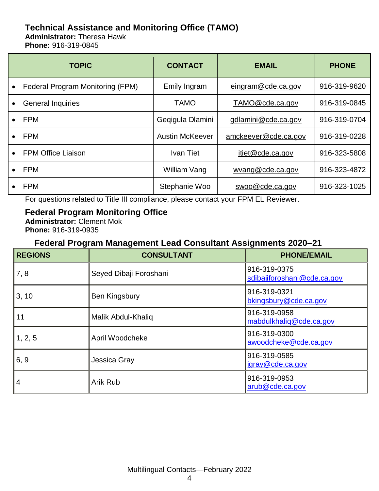# **Technical Assistance and Monitoring Office (TAMO)**

**Administrator:** Theresa Hawk **Phone:** 916-319-0845

|           | <b>TOPIC</b>                     | <b>CONTACT</b>         | <b>EMAIL</b>         | <b>PHONE</b> |
|-----------|----------------------------------|------------------------|----------------------|--------------|
| $\bullet$ | Federal Program Monitoring (FPM) | Emily Ingram           | eingram@cde.ca.gov   | 916-319-9620 |
|           | <b>General Inquiries</b>         | <b>TAMO</b>            | TAMO@cde.ca.gov      | 916-319-0845 |
|           | <b>FPM</b>                       | Gegigula Dlamini       | gdlamini@cde.ca.gov  | 916-319-0704 |
|           | <b>FPM</b>                       | <b>Austin McKeever</b> | amckeever@cde.ca.gov | 916-319-0228 |
|           | <b>FPM Office Liaison</b>        | Ivan Tiet              | itiet@cde.ca.gov     | 916-323-5808 |
|           | <b>FPM</b>                       | William Vang           | wyang@cde.ca.gov     | 916-323-4872 |
|           | <b>FPM</b>                       | Stephanie Woo          | swoo@cde.ca.gov      | 916-323-1025 |

For questions related to Title III compliance, please contact your FPM EL Reviewer.

**Federal Program Monitoring Office Administrator:** Clement Mok **Phone:** 916-319-0935

#### **Federal Program Management Lead Consultant Assignments 2020–21**

| <b>REGIONS</b> | <b>CONSULTANT</b>      | <b>PHONE/EMAIL</b>                          |
|----------------|------------------------|---------------------------------------------|
| 7, 8           | Seyed Dibaji Foroshani | 916-319-0375<br>sdibajiforoshani@cde.ca.gov |
| 3, 10          | Ben Kingsbury          | 916-319-0321<br>bkingsbury@cde.ca.gov       |
| 11             | Malik Abdul-Khaliq     | 916-319-0958<br>mabdulkhaliq@cde.ca.gov     |
| 1, 2, 5        | April Woodcheke        | 916-319-0300<br>awoodcheke@cde.ca.gov       |
| 6, 9           | Jessica Gray           | 916-319-0585<br>jgray@cde.ca.gov            |
| $\overline{4}$ | Arik Rub               | 916-319-0953<br>arub@cde.ca.gov             |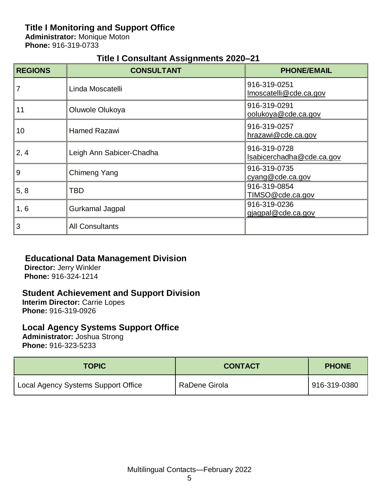## **Title I Monitoring and Support Office**

**Administrator:** Monique Moton **Phone:** 916-319-0733

## **Title I Consultant Assignments 2020–21**

| <b>REGIONS</b> | <b>CONSULTANT</b>        | <b>PHONE/EMAIL</b>                        |
|----------------|--------------------------|-------------------------------------------|
| 7              | Linda Moscatelli         | 916-319-0251<br>Imoscatelli@cde.ca.gov    |
| 11             | Oluwole Olukoya          | 916-319-0291<br>oolukoya@cde.ca.gov       |
| 10             | <b>Hamed Razawi</b>      | 916-319-0257<br>hrazawi@cde.ca.gov        |
| 2, 4           | Leigh Ann Sabicer-Chadha | 916-319-0728<br>Isabicerchadha@cde.ca.gov |
| 9              | Chimeng Yang             | 916-319-0735<br>cyang@cde.ca.gov          |
| 5, 8           | TBD                      | 916-319-0854<br>TIMSO@cde.ca.gov          |
| 1, 6           | Gurkamal Jagpal          | 916-319-0236<br>gjagpal@cde.ca.gov        |
| 3              | <b>All Consultants</b>   |                                           |

## **Educational Data Management Division**

**Director:** Jerry Winkler **Phone:** 916-324-1214

#### **Student Achievement and Support Division**

**Interim Director:** Carrie Lopes **Phone:** 916-319-0926

#### **Local Agency Systems Support Office**

**Administrator:** Joshua Strong **Phone:** 916-323-5233

| <b>TOPIC</b>                        | <b>CONTACT</b> | <b>PHONE</b> |
|-------------------------------------|----------------|--------------|
| Local Agency Systems Support Office | RaDene Girola  | 916-319-0380 |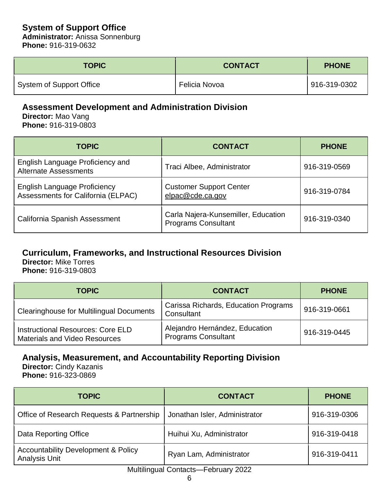## **System of Support Office**

**Administrator:** Anissa Sonnenburg **Phone:** 916-319-0632

| <b>TOPIC</b>             | <b>CONTACT</b> | <b>PHONE</b> |
|--------------------------|----------------|--------------|
| System of Support Office | Felicia Novoa  | 916-319-0302 |

## **Assessment Development and Administration Division**

**Director:** Mao Vang **Phone:** 916-319-0803

| <b>TOPIC</b>                                                              | <b>CONTACT</b>                                                    | <b>PHONE</b> |
|---------------------------------------------------------------------------|-------------------------------------------------------------------|--------------|
| English Language Proficiency and<br><b>Alternate Assessments</b>          | Traci Albee, Administrator                                        | 916-319-0569 |
| <b>English Language Proficiency</b><br>Assessments for California (ELPAC) | <b>Customer Support Center</b><br>elpac@cde.ca.gov                | 916-319-0784 |
| California Spanish Assessment                                             | Carla Najera-Kunsemiller, Education<br><b>Programs Consultant</b> | 916-319-0340 |

## **Curriculum, Frameworks, and Instructional Resources Division**

**Director:** Mike Torres **Phone:** 916-319-0803

| <b>TOPIC</b>                                                                     | <b>CONTACT</b>                                               | <b>PHONE</b> |
|----------------------------------------------------------------------------------|--------------------------------------------------------------|--------------|
| <b>Clearinghouse for Multilingual Documents</b>                                  | Carissa Richards, Education Programs<br>Consultant           | 916-319-0661 |
| <b>Instructional Resources: Core ELD</b><br><b>Materials and Video Resources</b> | Alejandro Hernández, Education<br><b>Programs Consultant</b> | 916-319-0445 |

#### **Analysis, Measurement, and Accountability Reporting Division**

**Director:** Cindy Kazanis **Phone:** 916-323-0869

| <b>TOPIC</b>                                                           | <b>CONTACT</b>                | <b>PHONE</b> |
|------------------------------------------------------------------------|-------------------------------|--------------|
| Office of Research Requests & Partnership                              | Jonathan Isler, Administrator | 916-319-0306 |
| Data Reporting Office                                                  | Huihui Xu, Administrator      | 916-319-0418 |
| <b>Accountability Development &amp; Policy</b><br><b>Analysis Unit</b> | Ryan Lam, Administrator       | 916-319-0411 |